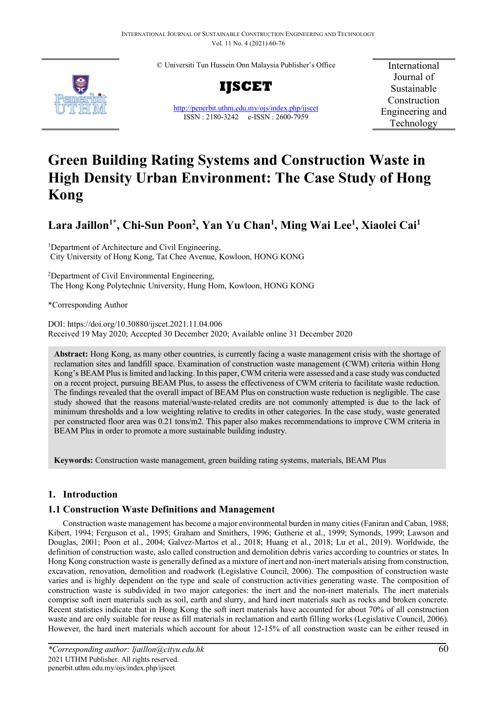© Universiti Tun Hussein Onn Malaysia Publisher's Office



**IJSCET**

<http://penerbit.uthm.edu.my/ojs/index.php/ijscet> ISSN : 2180-3242 e-ISSN : 2600-7959

International Journal of Sustainable Construction Engineering and Technology

# **Green Building Rating Systems and Construction Waste in High Density Urban Environment: The Case Study of Hong Kong**

## **Lara Jaillon1\*, Chi-Sun Poon2 , Yan Yu Chan1 , Ming Wai Lee1 , Xiaolei Cai1**

<sup>1</sup>Department of Architecture and Civil Engineering, City University of Hong Kong, Tat Chee Avenue, Kowloon, HONG KONG

<sup>2</sup>Department of Civil Environmental Engineering, The Hong Kong Polytechnic University, Hung Hom, Kowloon, HONG KONG

\*Corresponding Author

DOI: https://doi.org/10.30880/ijscet.2021.11.04.006 Received 19 May 2020; Accepted 30 December 2020; Available online 31 December 2020

**Abstract:** Hong Kong, as many other countries, is currently facing a waste management crisis with the shortage of reclamation sites and landfill space. Examination of construction waste management (CWM) criteria within Hong Kong's BEAM Plus is limited and lacking. In this paper, CWM criteria were assessed and a case study was conducted on a recent project, pursuing BEAM Plus, to assess the effectiveness of CWM criteria to facilitate waste reduction. The findings revealed that the overall impact of BEAM Plus on construction waste reduction is negligible. The case study showed that the reasons material/waste-related credits are not commonly attempted is due to the lack of minimum thresholds and a low weighting relative to credits in other categories. In the case study, waste generated per constructed floor area was 0.21 tons/m2. This paper also makes recommendations to improve CWM criteria in BEAM Plus in order to promote a more sustainable building industry.

**Keywords:** Construction waste management, green building rating systems, materials, BEAM Plus

## **1. Introduction**

## **1.1 Construction Waste Definitions and Management**

Construction waste management has become a major environmental burden in many cities (Faniran and Caban, 1988; Kibert, 1994; Ferguson et al., 1995; Graham and Smithers, 1996; Gutherie et al., 1999; Symonds, 1999; Lawson and Douglas, 2001; Poon et al., 2004; Galvez-Martos et al., 2018; Huang et al., 2018; Lu et al., 2019). Worldwide, the definition of construction waste, aslo called construction and demolition debris varies according to countries or states. In Hong Kong construction waste is generally defined as a mixture of inert and non-inert materials arising from construction, excavation, renovation, demolition and roadwork (Legislative Council, 2006). The composition of construction waste varies and is highly dependent on the type and scale of construction activities generating waste. The composition of construction waste is subdivided in two major categories: the inert and the non-inert materials. The inert materials comprise soft inert materials such as soil, earth and slurry, and hard inert materials such as rocks and broken concrete. Recent statistics indicate that in Hong Kong the soft inert materials have accounted for about 70% of all construction waste and are only suitable for reuse as fill materials in reclamation and earth filling works (Legislative Council, 2006). However, the hard inert materials which account for about 12-15% of all construction waste can be either reused in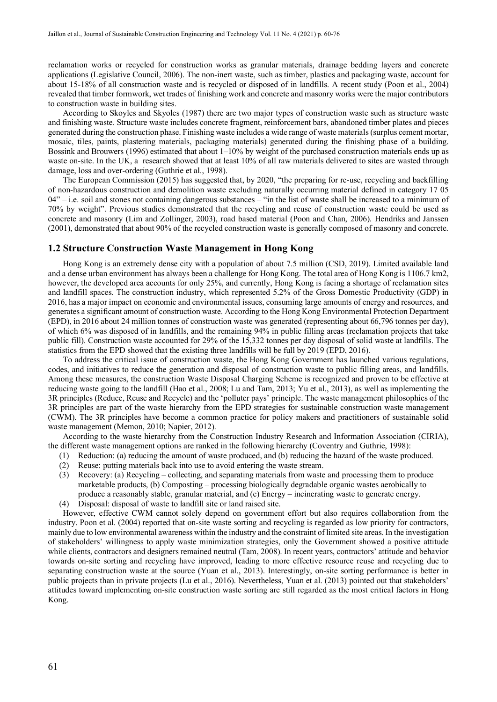reclamation works or recycled for construction works as granular materials, drainage bedding layers and concrete applications (Legislative Council, 2006). The non-inert waste, such as timber, plastics and packaging waste, account for about 15-18% of all construction waste and is recycled or disposed of in landfills. A recent study (Poon et al., 2004) revealed that timber formwork, wet trades of finishing work and concrete and masonry works were the major contributors to construction waste in building sites.

According to Skoyles and Skyoles (1987) there are two major types of construction waste such as structure waste and finishing waste. Structure waste includes concrete fragment, reinforcement bars, abandoned timber plates and pieces generated during the construction phase. Finishing waste includes a wide range of waste materials (surplus cement mortar, mosaic, tiles, paints, plastering materials, packaging materials) generated during the finishing phase of a building. Bossink and Brouwers (1996) estimated that about  $1-10\%$  by weight of the purchased construction materials ends up as waste on-site. In the UK, a research showed that at least 10% of all raw materials delivered to sites are wasted through damage, loss and over-ordering (Guthrie et al., 1998).

The European Commission (2015) has suggested that, by 2020, "the preparing for re-use, recycling and backfilling of non-hazardous construction and demolition waste excluding naturally occurring material defined in category 17 05  $04$ <sup>"</sup> $-$  i.e. soil and stones not containing dangerous substances – "in the list of waste shall be increased to a minimum of 70% by weight". Previous studies demonstrated that the recycling and reuse of construction waste could be used as concrete and masonry (Lim and Zollinger, 2003), road based material (Poon and Chan, 2006). Hendriks and Janssen (2001), demonstrated that about 90% of the recycled construction waste is generally composed of masonry and concrete.

#### **1.2 Structure Construction Waste Management in Hong Kong**

Hong Kong is an extremely dense city with a population of about 7.5 million (CSD, 2019). Limited available land and a dense urban environment has always been a challenge for Hong Kong. The total area of Hong Kong is 1106.7 km2, however, the developed area accounts for only 25%, and currently, Hong Kong is facing a shortage of reclamation sites and landfill spaces. The construction industry, which represented 5.2% of the Gross Domestic Productivity (GDP) in 2016, has a major impact on economic and environmental issues, consuming large amounts of energy and resources, and generates a significant amount of construction waste. According to the Hong Kong Environmental Protection Department (EPD), in 2016 about 24 million tonnes of construction waste was generated (representing about 66,796 tonnes per day), of which 6% was disposed of in landfills, and the remaining 94% in public filling areas (reclamation projects that take public fill). Construction waste accounted for 29% of the 15,332 tonnes per day disposal of solid waste at landfills. The statistics from the EPD showed that the existing three landfills will be full by 2019 (EPD, 2016).

To address the critical issue of construction waste, the Hong Kong Government has launched various regulations, codes, and initiatives to reduce the generation and disposal of construction waste to public filling areas, and landfills. Among these measures, the construction Waste Disposal Charging Scheme is recognized and proven to be effective at reducing waste going to the landfill (Hao et al., 2008; Lu and Tam, 2013; Yu et al., 2013), as well as implementing the 3R principles (Reduce, Reuse and Recycle) and the 'polluter pays' principle. The waste management philosophies of the 3R principles are part of the waste hierarchy from the EPD strategies for sustainable construction waste management (CWM). The 3R principles have become a common practice for policy makers and practitioners of sustainable solid waste management (Memon, 2010; Napier, 2012).

According to the waste hierarchy from the Construction Industry Research and Information Association (CIRIA), the different waste management options are ranked in the following hierarchy (Coventry and Guthrie, 1998):

- (1) Reduction: (a) reducing the amount of waste produced, and (b) reducing the hazard of the waste produced.
- (2) Reuse: putting materials back into use to avoid entering the waste stream.
- (3) Recovery: (a) Recycling collecting, and separating materials from waste and processing them to produce marketable products, (b) Composting – processing biologically degradable organic wastes aerobically to produce a reasonably stable, granular material, and (c) Energy – incinerating waste to generate energy.
- (4) Disposal: disposal of waste to landfill site or land raised site.

However, effective CWM cannot solely depend on government effort but also requires collaboration from the industry. Poon et al. (2004) reported that on-site waste sorting and recycling is regarded as low priority for contractors, mainly due to low environmental awareness within the industry and the constraint of limited site areas. In the investigation of stakeholders' willingness to apply waste minimization strategies, only the Government showed a positive attitude while clients, contractors and designers remained neutral (Tam, 2008). In recent years, contractors' attitude and behavior towards on-site sorting and recycling have improved, leading to more effective resource reuse and recycling due to separating construction waste at the source (Yuan et al., 2013). Interestingly, on-site sorting performance is better in public projects than in private projects (Lu et al., 2016). Nevertheless, Yuan et al. (2013) pointed out that stakeholders' attitudes toward implementing on-site construction waste sorting are still regarded as the most critical factors in Hong Kong.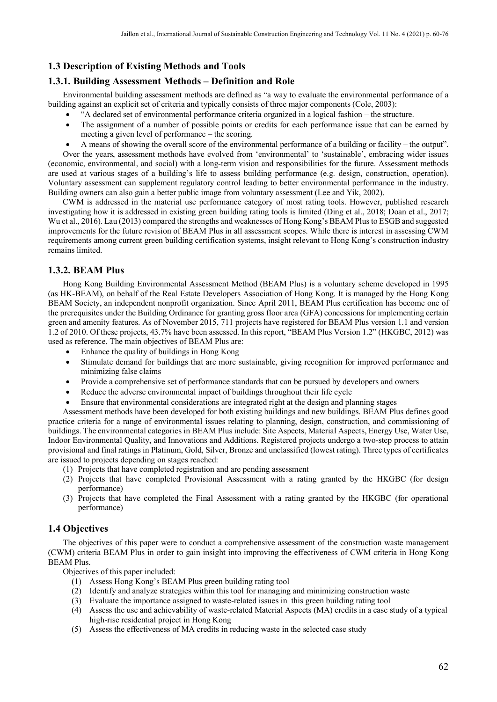## **1.3 Description of Existing Methods and Tools**

## **1.3.1. Building Assessment Methods – Definition and Role**

Environmental building assessment methods are defined as "a way to evaluate the environmental performance of a building against an explicit set of criteria and typically consists of three major components (Cole, 2003):

- "A declared set of environmental performance criteria organized in a logical fashion the structure.
- The assignment of a number of possible points or credits for each performance issue that can be earned by meeting a given level of performance – the scoring.
- A means of showing the overall score of the environmental performance of a building or facility the output". Over the years, assessment methods have evolved from 'environmental' to 'sustainable', embracing wider issues (economic, environmental, and social) with a long-term vision and responsibilities for the future. Assessment methods are used at various stages of a building's life to assess building performance (e.g. design, construction, operation). Voluntary assessment can supplement regulatory control leading to better environmental performance in the industry. Building owners can also gain a better public image from voluntary assessment (Lee and Yik, 2002).

CWM is addressed in the material use performance category of most rating tools. However, published research investigating how it is addressed in existing green building rating tools is limited (Ding et al., 2018; Doan et al., 2017; Wu et al., 2016). Lau (2013) compared the strengths and weaknesses of Hong Kong's BEAM Plus to ESGB and suggested improvements for the future revision of BEAM Plus in all assessment scopes. While there is interest in assessing CWM requirements among current green building certification systems, insight relevant to Hong Kong's construction industry remains limited.

## **1.3.2. BEAM Plus**

Hong Kong Building Environmental Assessment Method (BEAM Plus) is a voluntary scheme developed in 1995 (as HK-BEAM), on behalf of the Real Estate Developers Association of Hong Kong. It is managed by the Hong Kong BEAM Society, an independent nonprofit organization. Since April 2011, BEAM Plus certification has become one of the prerequisites under the Building Ordinance for granting gross floor area (GFA) concessions for implementing certain green and amenity features. As of November 2015, 711 projects have registered for BEAM Plus version 1.1 and version 1.2 of 2010. Of these projects, 43.7% have been assessed. In this report, "BEAM Plus Version 1.2" (HKGBC, 2012) was used as reference. The main objectives of BEAM Plus are:

- Enhance the quality of buildings in Hong Kong
- Stimulate demand for buildings that are more sustainable, giving recognition for improved performance and minimizing false claims
- Provide a comprehensive set of performance standards that can be pursued by developers and owners
- Reduce the adverse environmental impact of buildings throughout their life cycle
- Ensure that environmental considerations are integrated right at the design and planning stages

Assessment methods have been developed for both existing buildings and new buildings. BEAM Plus defines good practice criteria for a range of environmental issues relating to planning, design, construction, and commissioning of buildings. The environmental categories in BEAM Plus include: Site Aspects, Material Aspects, Energy Use, Water Use, Indoor Environmental Quality, and Innovations and Additions. Registered projects undergo a two-step process to attain provisional and final ratings in Platinum, Gold, Silver, Bronze and unclassified (lowest rating). Three types of certificates are issued to projects depending on stages reached:

- (1) Projects that have completed registration and are pending assessment
- (2) Projects that have completed Provisional Assessment with a rating granted by the HKGBC (for design performance)
- (3) Projects that have completed the Final Assessment with a rating granted by the HKGBC (for operational performance)

#### **1.4 Objectives**

The objectives of this paper were to conduct a comprehensive assessment of the construction waste management (CWM) criteria BEAM Plus in order to gain insight into improving the effectiveness of CWM criteria in Hong Kong BEAM Plus.

Objectives of this paper included:

- (1) Assess Hong Kong's BEAM Plus green building rating tool
- (2) Identify and analyze strategies within this tool for managing and minimizing construction waste
- (3) Evaluate the importance assigned to waste-related issues in this green building rating tool
- (4) Assess the use and achievability of waste-related Material Aspects (MA) credits in a case study of a typical high-rise residential project in Hong Kong
- (5) Assess the effectiveness of MA credits in reducing waste in the selected case study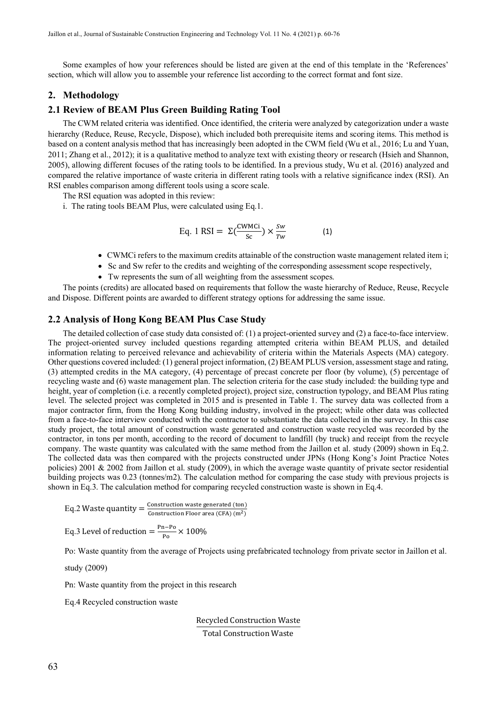Some examples of how your references should be listed are given at the end of this template in the 'References' section, which will allow you to assemble your reference list according to the correct format and font size.

#### **2. Methodology**

#### **2.1 Review of BEAM Plus Green Building Rating Tool**

The CWM related criteria was identified. Once identified, the criteria were analyzed by categorization under a waste hierarchy (Reduce, Reuse, Recycle, Dispose), which included both prerequisite items and scoring items. This method is based on a content analysis method that has increasingly been adopted in the CWM field (Wu et al., 2016; Lu and Yuan, 2011; Zhang et al., 2012); it is a qualitative method to analyze text with existing theory or research (Hsieh and Shannon, 2005), allowing different focuses of the rating tools to be identified. In a previous study, Wu et al. (2016) analyzed and compared the relative importance of waste criteria in different rating tools with a relative significance index (RSI). An RSI enables comparison among different tools using a score scale.

The RSI equation was adopted in this review:

i. The rating tools BEAM Plus, were calculated using Eq.1.

Eq. 1 RSI = 
$$
\Sigma \left( \frac{\text{CWMCi}}{\text{Sc}} \right) \times \frac{\text{Sw}}{\text{Tw}}
$$
 (1)

- CWMCi refers to the maximum credits attainable of the construction waste management related item i;
- Sc and Sw refer to the credits and weighting of the corresponding assessment scope respectively,
- Tw represents the sum of all weighting from the assessment scopes.

The points (credits) are allocated based on requirements that follow the waste hierarchy of Reduce, Reuse, Recycle and Dispose. Different points are awarded to different strategy options for addressing the same issue.

#### **2.2 Analysis of Hong Kong BEAM Plus Case Study**

The detailed collection of case study data consisted of: (1) a project-oriented survey and (2) a face-to-face interview. The project-oriented survey included questions regarding attempted criteria within BEAM PLUS, and detailed information relating to perceived relevance and achievability of criteria within the Materials Aspects (MA) category. Other questions covered included: (1) general project information, (2) BEAM PLUS version, assessment stage and rating, (3) attempted credits in the MA category, (4) percentage of precast concrete per floor (by volume), (5) percentage of recycling waste and (6) waste management plan. The selection criteria for the case study included: the building type and height, year of completion (i.e. a recently completed project), project size, construction typology, and BEAM Plus rating level. The selected project was completed in 2015 and is presented in Table 1. The survey data was collected from a major contractor firm, from the Hong Kong building industry, involved in the project; while other data was collected from a face-to-face interview conducted with the contractor to substantiate the data collected in the survey. In this case study project, the total amount of construction waste generated and construction waste recycled was recorded by the contractor, in tons per month, according to the record of document to landfill (by truck) and receipt from the recycle company. The waste quantity was calculated with the same method from the Jaillon et al. study (2009) shown in Eq.2. The collected data was then compared with the projects constructed under JPNs (Hong Kong's Joint Practice Notes policies) 2001 & 2002 from Jaillon et al. study (2009), in which the average waste quantity of private sector residential building projects was 0.23 (tonnes/m2). The calculation method for comparing the case study with previous projects is shown in Eq.3. The calculation method for comparing recycled construction waste is shown in Eq.4.

Eq.2 Waste quantity = 
$$
\frac{\text{Construction waste generated (ton)}}{\text{Construction Floor area (CFA) (m^2)}}
$$

Eq.3 Level of reduction =  $\frac{p_{n-Po}}{Po} \times 100\%$ 

Po: Waste quantity from the average of Projects using prefabricated technology from private sector in Jaillon et al.

study (2009)

Pn: Waste quantity from the project in this research

Eq.4 Recycled construction waste

Recycled Construction Waste

Total Construction Waste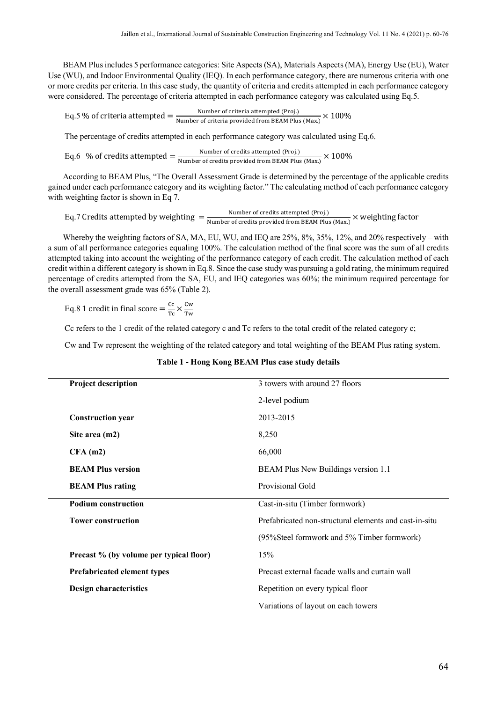BEAM Plus includes 5 performance categories: Site Aspects (SA), Materials Aspects (MA), Energy Use (EU), Water Use (WU), and Indoor Environmental Quality (IEQ). In each performance category, there are numerous criteria with one or more credits per criteria. In this case study, the quantity of criteria and credits attempted in each performance category were considered. The percentage of criteria attempted in each performance category was calculated using Eq.5.

Eq.5 % of criteria attempted  $=\frac{\text{Number of criteria attempted (Proj.)}}{\text{Number of criteria provided from BEAM Plus (Max.)}} \times 100\%$ 

The percentage of credits attempted in each performance category was calculated using Eq.6.

Eq.6 % of credits attempted  $=\frac{\text{Number of credits attempted (Proj.)}}{\text{Number of credits provided from BEAM Plus (Max.)}} \times 100\%$ 

According to BEAM Plus, "The Overall Assessment Grade is determined by the percentage of the applicable credits gained under each performance category and its weighting factor." The calculating method of each performance category with weighting factor is shown in Eq 7.

Eq.7 Credits attempted by weighting  $=$   $\frac{\text{Number of credits} \text{ at temperature of } (Proj.)}{\text{Number of credits provided from BEAM Plus (Max.)}} \times \text{ weighting factor}$ 

Whereby the weighting factors of SA, MA, EU, WU, and IEQ are 25%, 8%, 35%, 12%, and 20% respectively – with a sum of all performance categories equaling 100%. The calculation method of the final score was the sum of all credits attempted taking into account the weighting of the performance category of each credit. The calculation method of each credit within a different category is shown in Eq.8. Since the case study was pursuing a gold rating, the minimum required percentage of credits attempted from the SA, EU, and IEQ categories was 60%; the minimum required percentage for the overall assessment grade was 65% (Table 2).

Eq.8 1 credit in final score  $= \frac{cc}{Tc} \times \frac{cw}{Tw}$ Tw

Cc refers to the 1 credit of the related category c and Tc refers to the total credit of the related category c;

Cw and Tw represent the weighting of the related category and total weighting of the BEAM Plus rating system.

| <b>Project description</b>              | 3 towers with around 27 floors                         |
|-----------------------------------------|--------------------------------------------------------|
|                                         | 2-level podium                                         |
| <b>Construction year</b>                | 2013-2015                                              |
| Site area (m2)                          | 8,250                                                  |
| $CFA$ (m2)                              | 66,000                                                 |
| <b>BEAM Plus version</b>                | BEAM Plus New Buildings version 1.1                    |
| <b>BEAM Plus rating</b>                 | Provisional Gold                                       |
| <b>Podium construction</b>              | Cast-in-situ (Timber formwork)                         |
| <b>Tower construction</b>               | Prefabricated non-structural elements and cast-in-situ |
|                                         | (95%Steel formwork and 5% Timber formwork)             |
| Precast % (by volume per typical floor) | 15%                                                    |
| <b>Prefabricated element types</b>      | Precast external facade walls and curtain wall         |
| Design characteristics                  | Repetition on every typical floor                      |
|                                         | Variations of layout on each towers                    |

#### **Table 1 - Hong Kong BEAM Plus case study details**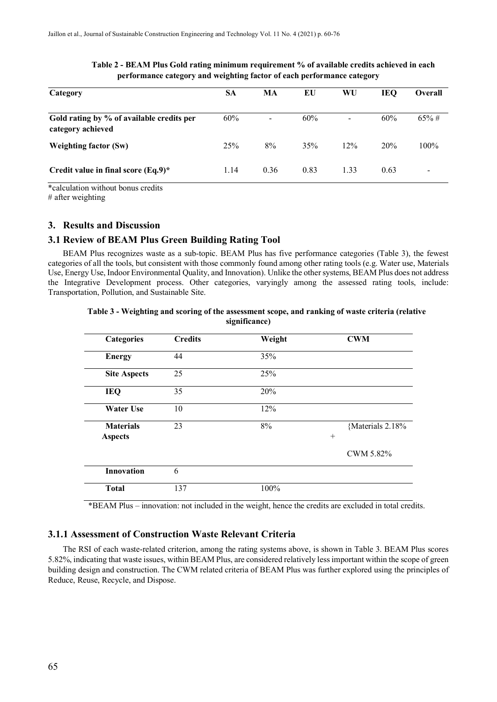| Category                                                       | SА   | MA                       | EU   | WU                       | IEO  | <b>Overall</b> |
|----------------------------------------------------------------|------|--------------------------|------|--------------------------|------|----------------|
| Gold rating by % of available credits per<br>category achieved | 60%  | $\overline{\phantom{a}}$ | 60%  | $\overline{\phantom{a}}$ | 60%  | $65\% \#$      |
| <b>Weighting factor (Sw)</b>                                   | 25%  | 8%                       | 35%  | 12%                      | 20%  | $100\%$        |
| Credit value in final score $(Eq.9)^*$                         | 1.14 | 0.36                     | 0.83 | 1.33                     | 0.63 |                |

#### **Table 2 - BEAM Plus Gold rating minimum requirement % of available credits achieved in each performance category and weighting factor of each performance category**

\*calculation without bonus credits

 $#$  after weighting

#### **3. Results and Discussion**

#### **3.1 Review of BEAM Plus Green Building Rating Tool**

BEAM Plus recognizes waste as a sub-topic. BEAM Plus has five performance categories (Table 3), the fewest categories of all the tools, but consistent with those commonly found among other rating tools (e.g. Water use, Materials Use, Energy Use, Indoor Environmental Quality, and Innovation). Unlike the other systems, BEAM Plus does not address the Integrative Development process. Other categories, varyingly among the assessed rating tools, include: Transportation, Pollution, and Sustainable Site.

#### **Table 3 - Weighting and scoring of the assessment scope, and ranking of waste criteria (relative significance)**

| <b>Categories</b>                  | <b>Credits</b> | Weight | <b>CWM</b>                 |
|------------------------------------|----------------|--------|----------------------------|
| <b>Energy</b>                      | 44             | 35%    |                            |
| <b>Site Aspects</b>                | 25             | 25%    |                            |
| <b>IEQ</b>                         | 35             | 20%    |                            |
| <b>Water Use</b>                   | 10             | 12%    |                            |
| <b>Materials</b><br><b>Aspects</b> | 23             | 8%     | {Materials 2.18%<br>$^{+}$ |
|                                    |                |        | CWM 5.82%                  |
| <b>Innovation</b>                  | 6              |        |                            |
| <b>Total</b>                       | 137            | 100%   |                            |

\*BEAM Plus – innovation: not included in the weight, hence the credits are excluded in total credits.

## **3.1.1 Assessment of Construction Waste Relevant Criteria**

The RSI of each waste-related criterion, among the rating systems above, is shown in Table 3. BEAM Plus scores 5.82%, indicating that waste issues, within BEAM Plus, are considered relatively less important within the scope of green building design and construction. The CWM related criteria of BEAM Plus was further explored using the principles of Reduce, Reuse, Recycle, and Dispose.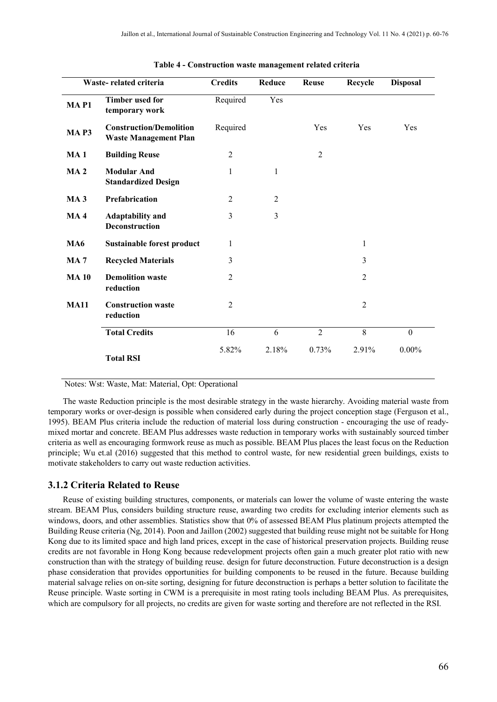|                  | Waste-related criteria                                         | <b>Credits</b> | Reduce         | <b>Reuse</b>   | Recycle        | <b>Disposal</b> |
|------------------|----------------------------------------------------------------|----------------|----------------|----------------|----------------|-----------------|
| MAP <sub>1</sub> | <b>Timber used for</b><br>temporary work                       | Required       | Yes            |                |                |                 |
| <b>MAP3</b>      | <b>Construction/Demolition</b><br><b>Waste Management Plan</b> | Required       |                | Yes            | Yes            | Yes             |
| MA <sub>1</sub>  | <b>Building Reuse</b>                                          | $\overline{2}$ |                | $\overline{2}$ |                |                 |
| <b>MA2</b>       | <b>Modular And</b><br><b>Standardized Design</b>               | 1              | $\mathbf{1}$   |                |                |                 |
| MA <sub>3</sub>  | Prefabrication                                                 | 2              | $\overline{2}$ |                |                |                 |
| <b>MA4</b>       | <b>Adaptability and</b><br>Deconstruction                      | 3              | 3              |                |                |                 |
| <b>MA6</b>       | <b>Sustainable forest product</b>                              | 1              |                |                | $\mathbf{1}$   |                 |
| <b>MA7</b>       | <b>Recycled Materials</b>                                      | 3              |                |                | 3              |                 |
| <b>MA10</b>      | <b>Demolition waste</b><br>reduction                           | $\overline{c}$ |                |                | $\overline{2}$ |                 |
| <b>MA11</b>      | <b>Construction waste</b><br>reduction                         | $\overline{2}$ |                |                | $\overline{2}$ |                 |
|                  | <b>Total Credits</b>                                           | 16             | 6              | $\overline{2}$ | 8              | $\mathbf{0}$    |
|                  | <b>Total RSI</b>                                               | 5.82%          | 2.18%          | 0.73%          | 2.91%          | $0.00\%$        |

#### **Table 4 - Construction waste management related criteria**

Notes: Wst: Waste, Mat: Material, Opt: Operational

The waste Reduction principle is the most desirable strategy in the waste hierarchy. Avoiding material waste from temporary works or over-design is possible when considered early during the project conception stage (Ferguson et al., 1995). BEAM Plus criteria include the reduction of material loss during construction - encouraging the use of readymixed mortar and concrete. BEAM Plus addresses waste reduction in temporary works with sustainably sourced timber criteria as well as encouraging formwork reuse as much as possible. BEAM Plus places the least focus on the Reduction principle; Wu et.al (2016) suggested that this method to control waste, for new residential green buildings, exists to motivate stakeholders to carry out waste reduction activities.

#### **3.1.2 Criteria Related to Reuse**

Reuse of existing building structures, components, or materials can lower the volume of waste entering the waste stream. BEAM Plus, considers building structure reuse, awarding two credits for excluding interior elements such as windows, doors, and other assemblies. Statistics show that 0% of assessed BEAM Plus platinum projects attempted the Building Reuse criteria (Ng, 2014). Poon and Jaillon (2002) suggested that building reuse might not be suitable for Hong Kong due to its limited space and high land prices, except in the case of historical preservation projects. Building reuse credits are not favorable in Hong Kong because redevelopment projects often gain a much greater plot ratio with new construction than with the strategy of building reuse. design for future deconstruction. Future deconstruction is a design phase consideration that provides opportunities for building components to be reused in the future. Because building material salvage relies on on-site sorting, designing for future deconstruction is perhaps a better solution to facilitate the Reuse principle. Waste sorting in CWM is a prerequisite in most rating tools including BEAM Plus. As prerequisites, which are compulsory for all projects, no credits are given for waste sorting and therefore are not reflected in the RSI.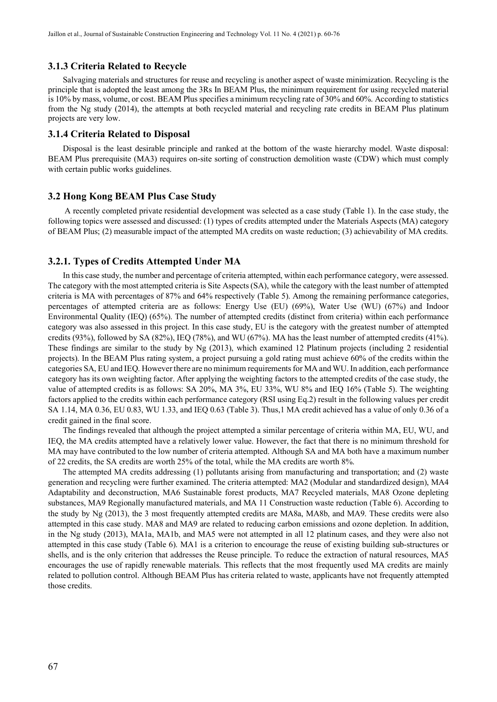#### **3.1.3 Criteria Related to Recycle**

Salvaging materials and structures for reuse and recycling is another aspect of waste minimization. Recycling is the principle that is adopted the least among the 3Rs In BEAM Plus, the minimum requirement for using recycled material is 10% by mass, volume, or cost. BEAM Plus specifies a minimum recycling rate of 30% and 60%. According to statistics from the Ng study (2014), the attempts at both recycled material and recycling rate credits in BEAM Plus platinum projects are very low.

#### **3.1.4 Criteria Related to Disposal**

Disposal is the least desirable principle and ranked at the bottom of the waste hierarchy model. Waste disposal: BEAM Plus prerequisite (MA3) requires on-site sorting of construction demolition waste (CDW) which must comply with certain public works guidelines.

#### **3.2 Hong Kong BEAM Plus Case Study**

A recently completed private residential development was selected as a case study (Table 1). In the case study, the following topics were assessed and discussed: (1) types of credits attempted under the Materials Aspects (MA) category of BEAM Plus; (2) measurable impact of the attempted MA credits on waste reduction; (3) achievability of MA credits.

#### **3.2.1. Types of Credits Attempted Under MA**

In this case study, the number and percentage of criteria attempted, within each performance category, were assessed. The category with the most attempted criteria is Site Aspects (SA), while the category with the least number of attempted criteria is MA with percentages of 87% and 64% respectively (Table 5). Among the remaining performance categories, percentages of attempted criteria are as follows: Energy Use (EU) (69%), Water Use (WU) (67%) and Indoor Environmental Quality (IEQ) (65%). The number of attempted credits (distinct from criteria) within each performance category was also assessed in this project. In this case study, EU is the category with the greatest number of attempted credits (93%), followed by SA (82%), IEQ (78%), and WU (67%). MA has the least number of attempted credits (41%). These findings are similar to the study by Ng (2013), which examined 12 Platinum projects (including 2 residential projects). In the BEAM Plus rating system, a project pursuing a gold rating must achieve 60% of the credits within the categories SA, EU and IEQ. However there are no minimum requirements for MA and WU. In addition, each performance category has its own weighting factor. After applying the weighting factors to the attempted credits of the case study, the value of attempted credits is as follows: SA 20%, MA 3%, EU 33%, WU 8% and IEQ 16% (Table 5). The weighting factors applied to the credits within each performance category (RSI using Eq.2) result in the following values per credit SA 1.14, MA 0.36, EU 0.83, WU 1.33, and IEQ 0.63 (Table 3). Thus,1 MA credit achieved has a value of only 0.36 of a credit gained in the final score.

The findings revealed that although the project attempted a similar percentage of criteria within MA, EU, WU, and IEQ, the MA credits attempted have a relatively lower value. However, the fact that there is no minimum threshold for MA may have contributed to the low number of criteria attempted. Although SA and MA both have a maximum number of 22 credits, the SA credits are worth 25% of the total, while the MA credits are worth 8%.

The attempted MA credits addressing (1) pollutants arising from manufacturing and transportation; and (2) waste generation and recycling were further examined. The criteria attempted: MA2 (Modular and standardized design), MA4 Adaptability and deconstruction, MA6 Sustainable forest products, MA7 Recycled materials, MA8 Ozone depleting substances, MA9 Regionally manufactured materials, and MA 11 Construction waste reduction (Table 6). According to the study by Ng (2013), the 3 most frequently attempted credits are MA8a, MA8b, and MA9. These credits were also attempted in this case study. MA8 and MA9 are related to reducing carbon emissions and ozone depletion. In addition, in the Ng study (2013), MA1a, MA1b, and MA5 were not attempted in all 12 platinum cases, and they were also not attempted in this case study (Table 6). MA1 is a criterion to encourage the reuse of existing building sub-structures or shells, and is the only criterion that addresses the Reuse principle. To reduce the extraction of natural resources, MA5 encourages the use of rapidly renewable materials. This reflects that the most frequently used MA credits are mainly related to pollution control. Although BEAM Plus has criteria related to waste, applicants have not frequently attempted those credits.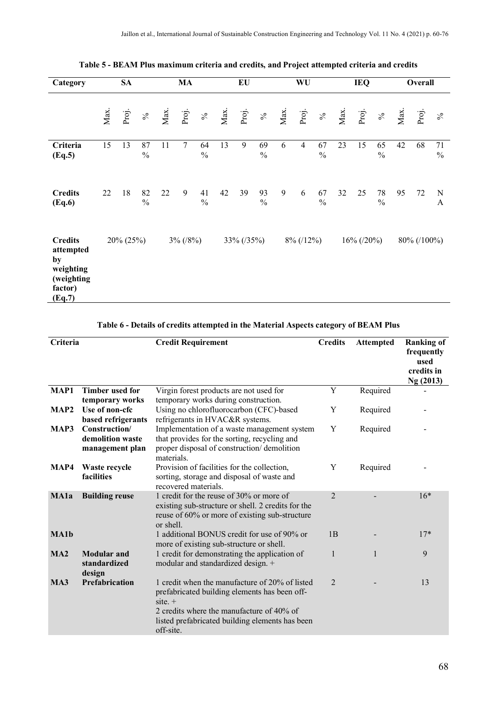| Category                                                                          |      | <b>SA</b> |                     |      | <b>MA</b>   |                     |      | EU         |                     |      | WU             |                     |      | <b>IEQ</b>    |                     |      | Overall     |                     |
|-----------------------------------------------------------------------------------|------|-----------|---------------------|------|-------------|---------------------|------|------------|---------------------|------|----------------|---------------------|------|---------------|---------------------|------|-------------|---------------------|
|                                                                                   | Max. | Proj.     | $\%$                | Max. | Proj.       | $\%$                | Max. | Proj.      | $\%$                | Max. | Proj.          | $\%$                | Max. | Proj.         | $\%$                | Max. | Proj.       | $\%$                |
| Criteria<br>(Eq.5)                                                                | 15   | 13        | 87<br>$\frac{0}{0}$ | 11   | 7           | 64<br>$\frac{0}{0}$ | 13   | 9          | 69<br>$\frac{0}{0}$ | 6    | $\overline{4}$ | 67<br>$\frac{0}{0}$ | 23   | 15            | 65<br>$\frac{0}{0}$ | 42   | 68          | 71<br>$\frac{0}{0}$ |
| <b>Credits</b><br>(Eq.6)                                                          | 22   | 18        | 82<br>$\frac{0}{0}$ | 22   | 9           | 41<br>$\frac{0}{0}$ | 42   | 39         | 93<br>$\frac{0}{0}$ | 9    | 6              | 67<br>$\frac{0}{0}$ | 32   | 25            | 78<br>$\frac{0}{0}$ | 95   | 72          | ${\bf N}$<br>A      |
| <b>Credits</b><br>attempted<br>by<br>weighting<br>(weighting<br>factor)<br>(Eq.7) |      | 20% (25%) |                     |      | $3\%$ (/8%) |                     |      | 33% (/35%) |                     |      | $8\%$ (/12%)   |                     |      | $16\%$ (/20%) |                     |      | 80% (/100%) |                     |

**Table 5 - BEAM Plus maximum criteria and credits, and Project attempted criteria and credits**

## **Table 6 - Details of credits attempted in the Material Aspects category of BEAM Plus**

| Criteria    |                                                      | <b>Credit Requirement</b>                                                                                                                                                                                                 | <b>Credits</b> | <b>Attempted</b> | <b>Ranking of</b><br>frequently<br>used<br>credits in<br>Ng (2013) |
|-------------|------------------------------------------------------|---------------------------------------------------------------------------------------------------------------------------------------------------------------------------------------------------------------------------|----------------|------------------|--------------------------------------------------------------------|
| MAP1        | <b>Timber used for</b><br>temporary works            | Virgin forest products are not used for<br>temporary works during construction.                                                                                                                                           | Y              | Required         |                                                                    |
| MAP2        | Use of non-cfc<br>based refrigerants                 | Using no chlorofluorocarbon (CFC)-based<br>refrigerants in HVAC&R systems.                                                                                                                                                | Y              | Required         |                                                                    |
| MAP3        | Construction/<br>demolition waste<br>management plan | Implementation of a waste management system<br>that provides for the sorting, recycling and<br>proper disposal of construction/demolition<br>materials.                                                                   | Y              | Required         |                                                                    |
| MAP4        | Waste recycle<br>facilities                          | Provision of facilities for the collection,<br>sorting, storage and disposal of waste and<br>recovered materials.                                                                                                         | Y              | Required         |                                                                    |
| MA1a        | <b>Building reuse</b>                                | 1 credit for the reuse of 30% or more of<br>existing sub-structure or shell. 2 credits for the<br>reuse of 60% or more of existing sub-structure<br>or shell.                                                             | $\mathfrak{D}$ |                  | $16*$                                                              |
| <b>MA1b</b> |                                                      | 1 additional BONUS credit for use of 90% or<br>more of existing sub-structure or shell.                                                                                                                                   | 1B             |                  | $17*$                                                              |
| MA2         | <b>Modular</b> and<br>standardized<br>design         | 1 credit for demonstrating the application of<br>modular and standardized design. +                                                                                                                                       | $\mathbf{1}$   | 1                | 9                                                                  |
| MA3         | Prefabrication                                       | 1 credit when the manufacture of 20% of listed<br>prefabricated building elements has been off-<br>$site. +$<br>2 credits where the manufacture of 40% of<br>listed prefabricated building elements has been<br>off-site. | $\mathfrak{D}$ |                  | 13                                                                 |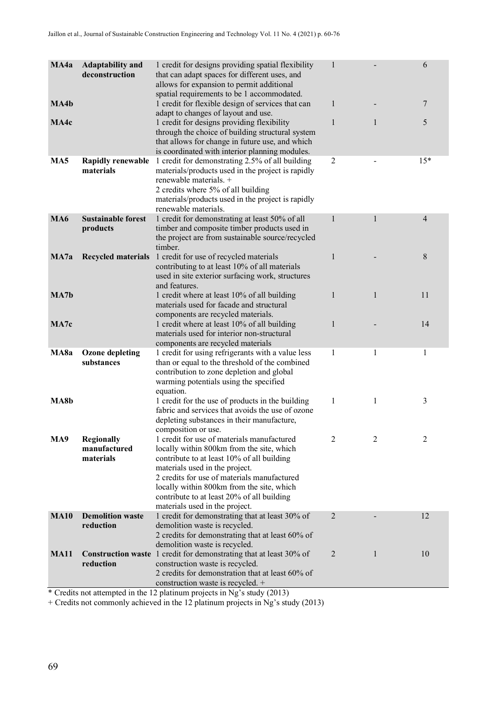| MA4a             | <b>Adaptability and</b><br>deconstruction      | 1 credit for designs providing spatial flexibility<br>that can adapt spaces for different uses, and<br>allows for expansion to permit additional<br>spatial requirements to be 1 accommodated.                                                                                                                                                      | $\mathbf{1}$   |              | 6              |
|------------------|------------------------------------------------|-----------------------------------------------------------------------------------------------------------------------------------------------------------------------------------------------------------------------------------------------------------------------------------------------------------------------------------------------------|----------------|--------------|----------------|
| MA4b             |                                                | 1 credit for flexible design of services that can<br>adapt to changes of layout and use.                                                                                                                                                                                                                                                            | 1              |              | 7              |
| MA4c             |                                                | 1 credit for designs providing flexibility<br>through the choice of building structural system<br>that allows for change in future use, and which<br>is coordinated with interior planning modules.                                                                                                                                                 | $\mathbf{1}$   | $\mathbf{1}$ | 5              |
| MA <sub>5</sub>  | <b>Rapidly renewable</b><br>materials          | 1 credit for demonstrating 2.5% of all building<br>materials/products used in the project is rapidly<br>renewable materials. +<br>2 credits where 5% of all building<br>materials/products used in the project is rapidly<br>renewable materials.                                                                                                   | $\overline{2}$ |              | $15*$          |
| <b>MA6</b>       | <b>Sustainable forest</b><br>products          | 1 credit for demonstrating at least 50% of all<br>timber and composite timber products used in<br>the project are from sustainable source/recycled<br>timber.                                                                                                                                                                                       | $\mathbf{1}$   | 1            | $\overline{4}$ |
| MA7a             |                                                | Recycled materials 1 credit for use of recycled materials<br>contributing to at least 10% of all materials<br>used in site exterior surfacing work, structures<br>and features.                                                                                                                                                                     | 1              |              | 8              |
| MA7 <sub>b</sub> |                                                | 1 credit where at least 10% of all building<br>materials used for facade and structural<br>components are recycled materials.                                                                                                                                                                                                                       | $\mathbf{1}$   | $\mathbf{1}$ | 11             |
| MA7c             |                                                | 1 credit where at least 10% of all building<br>materials used for interior non-structural<br>components are recycled materials                                                                                                                                                                                                                      | 1              |              | 14             |
| MA8a             | <b>Ozone depleting</b><br>substances           | 1 credit for using refrigerants with a value less<br>than or equal to the threshold of the combined<br>contribution to zone depletion and global<br>warming potentials using the specified<br>equation.                                                                                                                                             | 1              | 1            | 1              |
| MA8b             |                                                | 1 credit for the use of products in the building<br>fabric and services that avoids the use of ozone<br>depleting substances in their manufacture,<br>composition or use.                                                                                                                                                                           | 1              | 1            | 3              |
| MA9              | <b>Regionally</b><br>manufactured<br>materials | 1 credit for use of materials manufactured<br>locally within 800km from the site, which<br>contribute to at least 10% of all building<br>materials used in the project.<br>2 credits for use of materials manufactured<br>locally within 800km from the site, which<br>contribute to at least 20% of all building<br>materials used in the project. | 2              | 2            | 2              |
| <b>MA10</b>      | <b>Demolition waste</b><br>reduction           | 1 credit for demonstrating that at least 30% of<br>demolition waste is recycled.<br>2 credits for demonstrating that at least 60% of<br>demolition waste is recycled.                                                                                                                                                                               | $\overline{2}$ |              | 12             |
| <b>MA11</b>      | reduction                                      | <b>Construction waste</b> 1 credit for demonstrating that at least 30% of<br>construction waste is recycled.<br>2 credits for demonstration that at least 60% of<br>construction waste is recycled. +                                                                                                                                               | $\overline{2}$ | 1            | 10             |
|                  |                                                |                                                                                                                                                                                                                                                                                                                                                     |                |              |                |

\* Credits not attempted in the 12 platinum projects in Ng's study (2013)

+ Credits not commonly achieved in the 12 platinum projects in Ng's study (2013)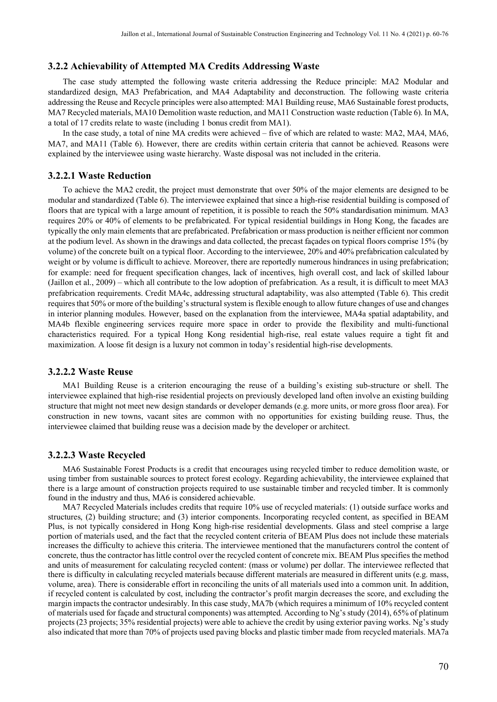#### **3.2.2 Achievability of Attempted MA Credits Addressing Waste**

The case study attempted the following waste criteria addressing the Reduce principle: MA2 Modular and standardized design, MA3 Prefabrication, and MA4 Adaptability and deconstruction. The following waste criteria addressing the Reuse and Recycle principles were also attempted: MA1 Building reuse, MA6 Sustainable forest products, MA7 Recycled materials, MA10 Demolition waste reduction, and MA11 Construction waste reduction (Table 6). In MA, a total of 17 credits relate to waste (including 1 bonus credit from MA1).

In the case study, a total of nine MA credits were achieved – five of which are related to waste: MA2, MA4, MA6, MA7, and MA11 (Table 6). However, there are credits within certain criteria that cannot be achieved. Reasons were explained by the interviewee using waste hierarchy. Waste disposal was not included in the criteria.

#### **3.2.2.1 Waste Reduction**

To achieve the MA2 credit, the project must demonstrate that over 50% of the major elements are designed to be modular and standardized (Table 6). The interviewee explained that since a high-rise residential building is composed of floors that are typical with a large amount of repetition, it is possible to reach the 50% standardisation minimum. MA3 requires 20% or 40% of elements to be prefabricated. For typical residential buildings in Hong Kong, the facades are typically the only main elements that are prefabricated. Prefabrication or mass production is neither efficient nor common at the podium level. As shown in the drawings and data collected, the precast façades on typical floors comprise 15% (by volume) of the concrete built on a typical floor. According to the interviewee, 20% and 40% prefabrication calculated by weight or by volume is difficult to achieve. Moreover, there are reportedly numerous hindrances in using prefabrication; for example: need for frequent specification changes, lack of incentives, high overall cost, and lack of skilled labour (Jaillon et al., 2009) – which all contribute to the low adoption of prefabrication. As a result, it is difficult to meet MA3 prefabrication requirements. Credit MA4c, addressing structural adaptability, was also attempted (Table 6). This credit requires that 50% or more of the building's structural system is flexible enough to allow future changes of use and changes in interior planning modules. However, based on the explanation from the interviewee, MA4a spatial adaptability, and MA4b flexible engineering services require more space in order to provide the flexibility and multi-functional characteristics required. For a typical Hong Kong residential high-rise, real estate values require a tight fit and maximization. A loose fit design is a luxury not common in today's residential high-rise developments.

#### **3.2.2.2 Waste Reuse**

MA1 Building Reuse is a criterion encouraging the reuse of a building's existing sub-structure or shell. The interviewee explained that high-rise residential projects on previously developed land often involve an existing building structure that might not meet new design standards or developer demands (e.g. more units, or more gross floor area). For construction in new towns, vacant sites are common with no opportunities for existing building reuse. Thus, the interviewee claimed that building reuse was a decision made by the developer or architect.

#### **3.2.2.3 Waste Recycled**

MA6 Sustainable Forest Products is a credit that encourages using recycled timber to reduce demolition waste, or using timber from sustainable sources to protect forest ecology. Regarding achievability, the interviewee explained that there is a large amount of construction projects required to use sustainable timber and recycled timber. It is commonly found in the industry and thus, MA6 is considered achievable.

MA7 Recycled Materials includes credits that require 10% use of recycled materials: (1) outside surface works and structures, (2) building structure; and (3) interior components. Incorporating recycled content, as specified in BEAM Plus, is not typically considered in Hong Kong high-rise residential developments. Glass and steel comprise a large portion of materials used, and the fact that the recycled content criteria of BEAM Plus does not include these materials increases the difficulty to achieve this criteria. The interviewee mentioned that the manufacturers control the content of concrete, thus the contractor has little control over the recycled content of concrete mix. BEAM Plus specifies the method and units of measurement for calculating recycled content: (mass or volume) per dollar. The interviewee reflected that there is difficulty in calculating recycled materials because different materials are measured in different units (e.g. mass, volume, area). There is considerable effort in reconciling the units of all materials used into a common unit. In addition, if recycled content is calculated by cost, including the contractor's profit margin decreases the score, and excluding the margin impacts the contractor undesirably. In this case study, MA7b (which requires a minimum of 10% recycled content of materials used for façade and structural components) was attempted. According to Ng's study (2014), 65% of platinum projects (23 projects; 35% residential projects) were able to achieve the credit by using exterior paving works. Ng's study also indicated that more than 70% of projects used paving blocks and plastic timber made from recycled materials. MA7a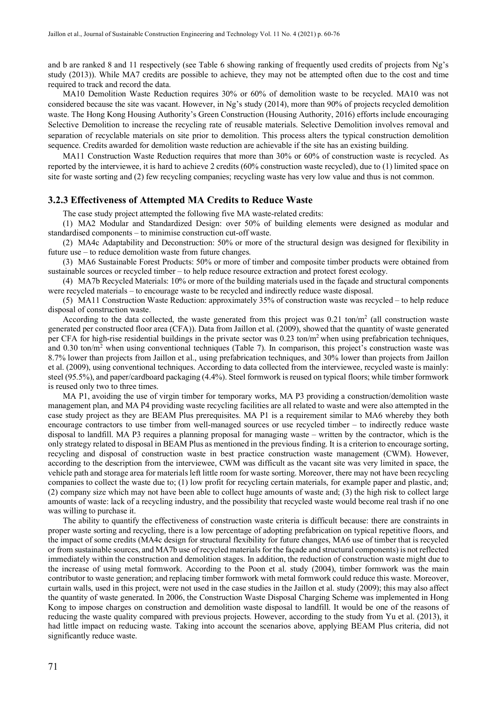and b are ranked 8 and 11 respectively (see Table 6 showing ranking of frequently used credits of projects from Ng's study (2013)). While MA7 credits are possible to achieve, they may not be attempted often due to the cost and time required to track and record the data.

MA10 Demolition Waste Reduction requires 30% or 60% of demolition waste to be recycled. MA10 was not considered because the site was vacant. However, in Ng's study (2014), more than 90% of projects recycled demolition waste. The Hong Kong Housing Authority's Green Construction (Housing Authority, 2016) efforts include encouraging Selective Demolition to increase the recycling rate of reusable materials. Selective Demolition involves removal and separation of recyclable materials on site prior to demolition. This process alters the typical construction demolition sequence. Credits awarded for demolition waste reduction are achievable if the site has an existing building.

MA11 Construction Waste Reduction requires that more than 30% or 60% of construction waste is recycled. As reported by the interviewee, it is hard to achieve 2 credits (60% construction waste recycled), due to (1) limited space on site for waste sorting and (2) few recycling companies; recycling waste has very low value and thus is not common.

#### **3.2.3 Effectiveness of Attempted MA Credits to Reduce Waste**

The case study project attempted the following five MA waste-related credits:

(1) MA2 Modular and Standardized Design: over 50% of building elements were designed as modular and standardised components – to minimise construction cut-off waste.

(2) MA4c Adaptability and Deconstruction: 50% or more of the structural design was designed for flexibility in future use – to reduce demolition waste from future changes.

(3) MA6 Sustainable Forest Products: 50% or more of timber and composite timber products were obtained from sustainable sources or recycled timber – to help reduce resource extraction and protect forest ecology.

(4) MA7b Recycled Materials: 10% or more of the building materials used in the façade and structural components were recycled materials – to encourage waste to be recycled and indirectly reduce waste disposal.

(5) MA11 Construction Waste Reduction: approximately 35% of construction waste was recycled – to help reduce disposal of construction waste.

According to the data collected, the waste generated from this project was  $0.21$  ton/m<sup>2</sup> (all construction waste generated per constructed floor area (CFA)). Data from Jaillon et al. (2009), showed that the quantity of waste generated per CFA for high-rise residential buildings in the private sector was  $0.23 \text{ ton/m}^2$  when using prefabrication techniques, and 0.30 ton/ $m<sup>2</sup>$  when using conventional techniques (Table 7). In comparison, this project's construction waste was 8.7% lower than projects from Jaillon et al., using prefabrication techniques, and 30% lower than projects from Jaillon et al. (2009), using conventional techniques. According to data collected from the interviewee, recycled waste is mainly: steel (95.5%), and paper/cardboard packaging (4.4%). Steel formwork is reused on typical floors; while timber formwork is reused only two to three times.

MA P1, avoiding the use of virgin timber for temporary works, MA P3 providing a construction/demolition waste management plan, and MA P4 providing waste recycling facilities are all related to waste and were also attempted in the case study project as they are BEAM Plus prerequisites. MA P1 is a requirement similar to MA6 whereby they both encourage contractors to use timber from well-managed sources or use recycled timber – to indirectly reduce waste disposal to landfill. MA P3 requires a planning proposal for managing waste – written by the contractor, which is the only strategy related to disposal in BEAM Plus as mentioned in the previous finding. It is a criterion to encourage sorting, recycling and disposal of construction waste in best practice construction waste management (CWM). However, according to the description from the interviewee, CWM was difficult as the vacant site was very limited in space, the vehicle path and storage area for materials left little room for waste sorting. Moreover, there may not have been recycling companies to collect the waste due to; (1) low profit for recycling certain materials, for example paper and plastic, and; (2) company size which may not have been able to collect huge amounts of waste and; (3) the high risk to collect large amounts of waste: lack of a recycling industry, and the possibility that recycled waste would become real trash if no one was willing to purchase it.

The ability to quantify the effectiveness of construction waste criteria is difficult because: there are constraints in proper waste sorting and recycling, there is a low percentage of adopting prefabrication on typical repetitive floors, and the impact of some credits (MA4c design for structural flexibility for future changes, MA6 use of timber that is recycled or from sustainable sources, and MA7b use of recycled materials for the façade and structural components) is not reflected immediately within the construction and demolition stages. In addition, the reduction of construction waste might due to the increase of using metal formwork. According to the Poon et al. study (2004), timber formwork was the main contributor to waste generation; and replacing timber formwork with metal formwork could reduce this waste. Moreover, curtain walls, used in this project, were not used in the case studies in the Jaillon et al. study (2009); this may also affect the quantity of waste generated. In 2006, the Construction Waste Disposal Charging Scheme was implemented in Hong Kong to impose charges on construction and demolition waste disposal to landfill. It would be one of the reasons of reducing the waste quality compared with previous projects. However, according to the study from Yu et al. (2013), it had little impact on reducing waste. Taking into account the scenarios above, applying BEAM Plus criteria, did not significantly reduce waste.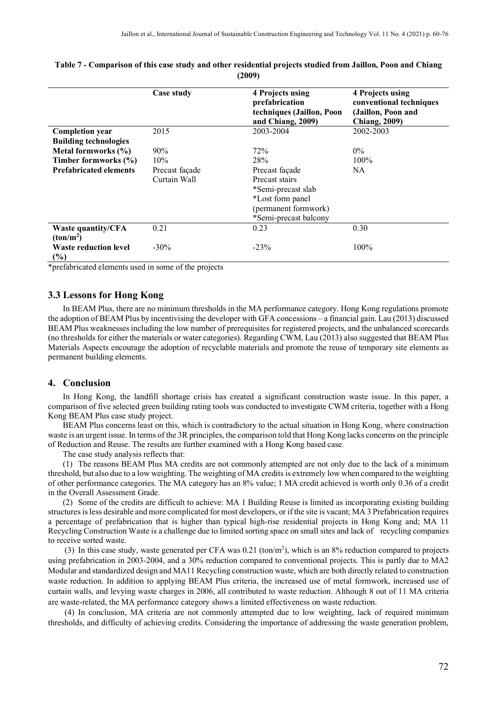|                                                    | Case study     | 4 Projects using<br>prefabrication<br>techniques (Jaillon, Poon<br>and Chiang, 2009) | 4 Projects using<br>conventional techniques<br>(Jaillon, Poon and<br><b>Chiang, 2009)</b> |
|----------------------------------------------------|----------------|--------------------------------------------------------------------------------------|-------------------------------------------------------------------------------------------|
| <b>Completion year</b>                             | 2015           | 2003-2004                                                                            | 2002-2003                                                                                 |
| <b>Building technologies</b>                       |                |                                                                                      |                                                                                           |
| Metal formworks (%)                                | $90\%$         | 72%                                                                                  | $0\%$                                                                                     |
| Timber formworks (%)                               | 10%            | 28%                                                                                  | $100\%$                                                                                   |
| <b>Prefabricated elements</b>                      | Precast façade | Precast façade                                                                       | NA                                                                                        |
|                                                    | Curtain Wall   | Precast stairs                                                                       |                                                                                           |
|                                                    |                | *Semi-precast slab                                                                   |                                                                                           |
|                                                    |                | *Lost form panel                                                                     |                                                                                           |
|                                                    |                | (permanent formwork)                                                                 |                                                                                           |
|                                                    |                | *Semi-precast balcony                                                                |                                                                                           |
| <b>Waste quantity/CFA</b><br>(ton/m <sup>2</sup> ) | 0.21           | 0.23                                                                                 | 0.30                                                                                      |
| <b>Waste reduction level</b><br>$(\%)$             | $-30\%$        | $-23%$                                                                               | 100%                                                                                      |

#### **Table 7 - Comparison of this case study and other residential projects studied from Jaillon, Poon and Chiang (2009)**

\*prefabricated elements used in some of the projects

#### **3.3 Lessons for Hong Kong**

In BEAM Plus, there are no minimum thresholds in the MA performance category. Hong Kong regulations promote the adoption of BEAM Plus by incentivising the developer with GFA concessions – a financial gain. Lau (2013) discussed BEAM Plus weaknesses including the low number of prerequisites for registered projects, and the unbalanced scorecards (no thresholds for either the materials or water categories). Regarding CWM, Lau (2013) also suggested that BEAM Plus Materials Aspects encourage the adoption of recyclable materials and promote the reuse of temporary site elements as permanent building elements.

#### **4. Conclusion**

In Hong Kong, the landfill shortage crisis has created a significant construction waste issue. In this paper, a comparison of five selected green building rating tools was conducted to investigate CWM criteria, together with a Hong Kong BEAM Plus case study project.

BEAM Plus concerns least on this, which is contradictory to the actual situation in Hong Kong, where construction waste is an urgent issue. In terms of the 3R principles, the comparison told that Hong Kong lacks concerns on the principle of Reduction and Reuse. The results are further examined with a Hong Kong based case.

The case study analysis reflects that:

(1) The reasons BEAM Plus MA credits are not commonly attempted are not only due to the lack of a minimum threshold, but also due to a low weighting. The weighting of MA credits is extremely low when compared to the weighting of other performance categories. The MA category has an 8% value; 1 MA credit achieved is worth only 0.36 of a credit in the Overall Assessment Grade.

(2) Some of the credits are difficult to achieve: MA 1 Building Reuse is limited as incorporating existing building structures is less desirable and more complicated for most developers, or if the site is vacant; MA 3 Prefabrication requires a percentage of prefabrication that is higher than typical high-rise residential projects in Hong Kong and; MA 11 Recycling Construction Waste is a challenge due to limited sorting space on small sites and lack of recycling companies to receive sorted waste.

(3) In this case study, waste generated per CFA was  $0.21$  (ton/m<sup>2</sup>), which is an  $8\%$  reduction compared to projects using prefabrication in 2003-2004, and a 30% reduction compared to conventional projects. This is partly due to MA2 Modular and standardized design and MA11 Recycling construction waste, which are both directly related to construction waste reduction. In addition to applying BEAM Plus criteria, the increased use of metal formwork, increased use of curtain walls, and levying waste charges in 2006, all contributed to waste reduction. Although 8 out of 11 MA criteria are waste-related, the MA performance category shows a limited effectiveness on waste reduction.

(4) In conclusion, MA criteria are not commonly attempted due to low weighting, lack of required minimum thresholds, and difficulty of achieving credits. Considering the importance of addressing the waste generation problem,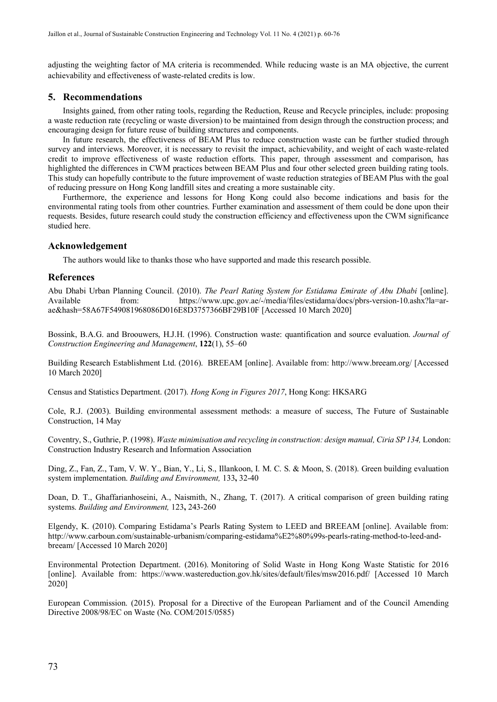adjusting the weighting factor of MA criteria is recommended. While reducing waste is an MA objective, the current achievability and effectiveness of waste-related credits is low.

#### **5. Recommendations**

Insights gained, from other rating tools, regarding the Reduction, Reuse and Recycle principles, include: proposing a waste reduction rate (recycling or waste diversion) to be maintained from design through the construction process; and encouraging design for future reuse of building structures and components.

In future research, the effectiveness of BEAM Plus to reduce construction waste can be further studied through survey and interviews. Moreover, it is necessary to revisit the impact, achievability, and weight of each waste-related credit to improve effectiveness of waste reduction efforts. This paper, through assessment and comparison, has highlighted the differences in CWM practices between BEAM Plus and four other selected green building rating tools. This study can hopefully contribute to the future improvement of waste reduction strategies of BEAM Plus with the goal of reducing pressure on Hong Kong landfill sites and creating a more sustainable city.

Furthermore, the experience and lessons for Hong Kong could also become indications and basis for the environmental rating tools from other countries. Further examination and assessment of them could be done upon their requests. Besides, future research could study the construction efficiency and effectiveness upon the CWM significance studied here.

#### **Acknowledgement**

The authors would like to thanks those who have supported and made this research possible.

#### **References**

Abu Dhabi Urban Planning Council. (2010). *The Pearl Rating System for Estidama Emirate of Abu Dhabi* [online].<br>Available from: https://www.upc.gov.ae/-/media/files/estidama/docs/pbrs-version-10.ashx?la=arfrom: [https://www.upc.gov.ae/-/media/files/estidama/docs/pbrs-version-10.ashx?la=ar](https://www.upc.gov.ae/-/media/files/estidama/docs/pbrs-version-10.ashx?la=ar-ae&hash=58A67F549081968086D016E8D3757366BF29B10F)[ae&hash=58A67F549081968086D016E8D3757366BF29B10F](https://www.upc.gov.ae/-/media/files/estidama/docs/pbrs-version-10.ashx?la=ar-ae&hash=58A67F549081968086D016E8D3757366BF29B10F) [Accessed 10 March 2020]

Bossink, B.A.G. and Broouwers, H.J.H. (1996). Construction waste: quantification and source evaluation. *Journal of Construction Engineering and Management*, **122**(1), 55–60

Building Research Establishment Ltd. (2016). BREEAM [online]. Available from: http://www.breeam.org/ [Accessed 10 March 2020]

Census and Statistics Department. (2017). *Hong Kong in Figures 2017*, Hong Kong: HKSARG

Cole, R.J. (2003). Building environmental assessment methods: a measure of success, The Future of Sustainable Construction, 14 May

Coventry, S., Guthrie, P. (1998). *Waste minimisation and recycling in construction: design manual, Ciria SP 134,* London: Construction Industry Research and Information Association

Ding, Z., Fan, Z., Tam, V. W. Y., Bian, Y., Li, S., Illankoon, I. M. C. S. & Moon, S. (2018). Green building evaluation system implementation. *Building and Environment,* 133**,** 32-40

Doan, D. T., Ghaffarianhoseini, A., Naismith, N., Zhang, T. (2017). A critical comparison of green building rating systems. *Building and Environment,* 123**,** 243-260

Elgendy, K. (2010). Comparing Estidama's Pearls Rating System to LEED and BREEAM [online]. Available from: [http://www.carboun.com/sustainable-urbanism/comparing-estidama%E2%80%99s-pearls-rating-method-to-leed-and](http://www.carboun.com/sustainable-urbanism/comparing-estidama%E2%80%99s-pearls-rating-method-to-leed-and-breeam/)[breeam/](http://www.carboun.com/sustainable-urbanism/comparing-estidama%E2%80%99s-pearls-rating-method-to-leed-and-breeam/) [Accessed 10 March 2020]

Environmental Protection Department. (2016). Monitoring of Solid Waste in Hong Kong Waste Statistic for 2016 [online]. Available from: <https://www.wastereduction.gov.hk/sites/default/files/msw2016.pdf/> [Accessed 10 March 2020]

European Commission. (2015). Proposal for a Directive of the European Parliament and of the Council Amending Directive 2008/98/EC on Waste (No. COM/2015/0585)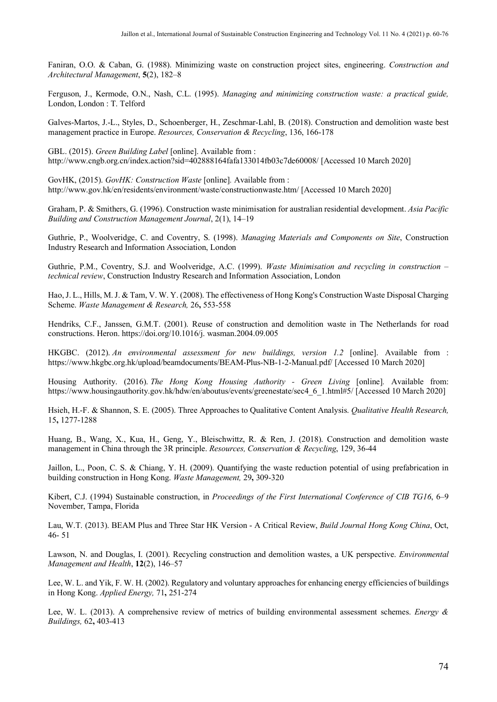Faniran, O.O. & Caban, G. (1988). Minimizing waste on construction project sites, engineering. *Construction and Architectural Management*, **5**(2), 182–8

Ferguson, J., Kermode, O.N., Nash, C.L. (1995). *Managing and minimizing construction waste: a practical guide,*  London, London : T. Telford

Galves-Martos, J.-L., Styles, D., Schoenberger, H., Zeschmar-Lahl, B. (2018). Construction and demolition waste best management practice in Europe. *Resources, Conservation & Recycling*, 136, 166-178

GBL. (2015). *Green Building Label* [online]. Available from : http://www.cngb.org.cn/index.action?sid=402888164fafa133014fb03c7de60008/ [Accessed 10 March 2020]

GovHK, (2015). *GovHK: Construction Waste* [online]*.* Available from : <http://www.gov.hk/en/residents/environment/waste/constructionwaste.htm/> [Accessed 10 March 2020]

Graham, P. & Smithers, G. (1996). Construction waste minimisation for australian residential development. *Asia Pacific Building and Construction Management Journal*, 2(1), 14–19

Guthrie, P., Woolveridge, C. and Coventry, S. (1998). *Managing Materials and Components on Site*, Construction Industry Research and Information Association, London

Guthrie, P.M., Coventry, S.J. and Woolveridge, A.C. (1999). *Waste Minimisation and recycling in construction – technical review*, Construction Industry Research and Information Association, London

Hao, J. L., Hills, M. J. & Tam, V. W. Y. (2008). The effectiveness of Hong Kong's Construction Waste Disposal Charging Scheme. *Waste Management & Research,* 26**,** 553-558

Hendriks, C.F., Janssen, G.M.T. (2001). Reuse of construction and demolition waste in The Netherlands for road constructions. Heron. [https://doi.org/10.1016/j. wasman.2004.09.005](https://doi.org/10.1016/j.%20wasman.2004.09.005)

HKGBC. (2012). *An environmental assessment for new buildings, version 1.2* [online]. Available from : <https://www.hkgbc.org.hk/upload/beamdocuments/BEAM-Plus-NB-1-2-Manual.pdf/> [Accessed 10 March 2020]

Housing Authority. (2016). *The Hong Kong Housing Authority - Green Living* [online]*.* Available from: [https://www.housingauthority.gov.hk/hdw/en/aboutus/events/greenestate/sec4\\_6\\_1.html#5/](https://www.housingauthority.gov.hk/hdw/en/aboutus/events/greenestate/sec4_6_1.html#5/) [Accessed 10 March 2020]

Hsieh, H.-F. & Shannon, S. E. (2005). Three Approaches to Qualitative Content Analysis. *Qualitative Health Research,* 15**,** 1277-1288

Huang, B., Wang, X., Kua, H., Geng, Y., Bleischwittz, R. & Ren, J. (2018). Construction and demolition waste management in China through the 3R principle. *Resources, Conservation & Recycling*, 129, 36-44

Jaillon, L., Poon, C. S. & Chiang, Y. H. (2009). Quantifying the waste reduction potential of using prefabrication in building construction in Hong Kong. *Waste Management,* 29**,** 309-320

Kibert, C.J. (1994) Sustainable construction, in *Proceedings of the First International Conference of CIB TG16*, 6–9 November, Tampa, Florida

Lau, W.T. (2013). BEAM Plus and Three Star HK Version - A Critical Review, *Build Journal Hong Kong China*, Oct, 46- 51

Lawson, N. and Douglas, I. (2001). Recycling construction and demolition wastes, a UK perspective. *Environmental Management and Health*, **12**(2), 146–57

Lee, W. L. and Yik, F. W. H. (2002). Regulatory and voluntary approaches for enhancing energy efficiencies of buildings in Hong Kong. *Applied Energy,* 71**,** 251-274

Lee, W. L. (2013). A comprehensive review of metrics of building environmental assessment schemes. *Energy & Buildings,* 62**,** 403-413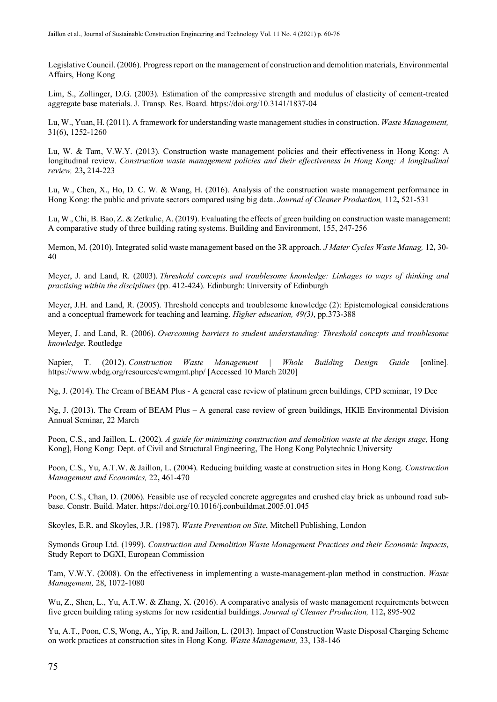Legislative Council. (2006). Progress report on the management of construction and demolition materials, Environmental Affairs, Hong Kong

Lim, S., Zollinger, D.G. (2003). Estimation of the compressive strength and modulus of elasticity of cement-treated aggregate base materials. J. Transp. Res. Board.<https://doi.org/10.3141/1837-04>

Lu, W., Yuan, H. (2011). A framework for understanding waste management studies in construction. *Waste Management,* 31(6), 1252-1260

Lu, W. & Tam, V.W.Y. (2013). Construction waste management policies and their effectiveness in Hong Kong: A longitudinal review. *Construction waste management policies and their effectiveness in Hong Kong: A longitudinal review,* 23**,** 214-223

Lu, W., Chen, X., Ho, D. C. W. & Wang, H. (2016). Analysis of the construction waste management performance in Hong Kong: the public and private sectors compared using big data. *Journal of Cleaner Production,* 112**,** 521-531

Lu, W., Chi, B. Bao, Z. & Zetkulic, A. (2019). Evaluating the effects of green building on construction waste management: A comparative study of three building rating systems. Building and Environment, 155, 247-256

Memon, M. (2010). Integrated solid waste management based on the 3R approach. *J Mater Cycles Waste Manag,* 12**,** 30- 40

Meyer, J. and Land, R. (2003). *Threshold concepts and troublesome knowledge: Linkages to ways of thinking and practising within the disciplines* (pp. 412-424). Edinburgh: University of Edinburgh

Meyer, J.H. and Land, R. (2005). Threshold concepts and troublesome knowledge (2): Epistemological considerations and a conceptual framework for teaching and learning. *Higher education, 49(3)*, pp.373-388

Meyer, J. and Land, R. (2006). *Overcoming barriers to student understanding: Threshold concepts and troublesome knowledge.* Routledge

Napier, T. (2012). *Construction Waste Management | Whole Building Design Guide* [online]*.* https://www.wbdg.org/resources/cwmgmt.php/ [Accessed 10 March 2020]

Ng, J. (2014). The Cream of BEAM Plus - A general case review of platinum green buildings, CPD seminar, 19 Dec

Ng, J. (2013). The Cream of BEAM Plus – A general case review of green buildings, HKIE Environmental Division Annual Seminar, 22 March

Poon, C.S., and Jaillon, L. (2002). *A guide for minimizing construction and demolition waste at the design stage*, Hong Kong], Hong Kong: Dept. of Civil and Structural Engineering, The Hong Kong Polytechnic University

Poon, C.S., Yu, A.T.W. & Jaillon, L. (2004). Reducing building waste at construction sites in Hong Kong. *Construction Management and Economics,* 22**,** 461-470

Poon, C.S., Chan, D. (2006). Feasible use of recycled concrete aggregates and crushed clay brick as unbound road subbase. Constr. Build. Mater.<https://doi.org/10.1016/j.conbuildmat.2005.01.045>

Skoyles, E.R. and Skoyles, J.R. (1987). *Waste Prevention on Site*, Mitchell Publishing, London

Symonds Group Ltd. (1999). *Construction and Demolition Waste Management Practices and their Economic Impacts*, Study Report to DGXI, European Commission

Tam, V.W.Y. (2008). On the effectiveness in implementing a waste-management-plan method in construction. *Waste Management,* 28, 1072-1080

Wu, Z., Shen, L., Yu, A.T.W. & Zhang, X. (2016). A comparative analysis of waste management requirements between five green building rating systems for new residential buildings. *Journal of Cleaner Production,* 112**,** 895-902

Yu, A.T., Poon, C.S, Wong, A., Yip, R. and Jaillon, L. (2013). Impact of Construction Waste Disposal Charging Scheme on work practices at construction sites in Hong Kong. *Waste Management,* 33, 138-146